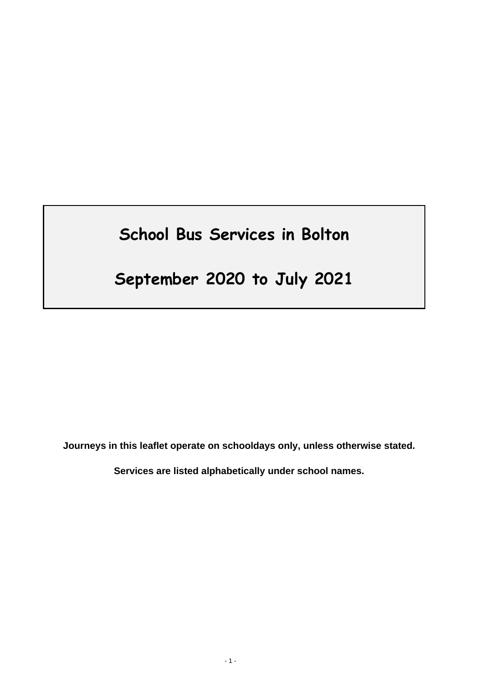# **School Bus Services in Bolton**

## **September 2020 to July 2021**

**Journeys in this leaflet operate on schooldays only, unless otherwise stated.**

**Services are listed alphabetically under school names.**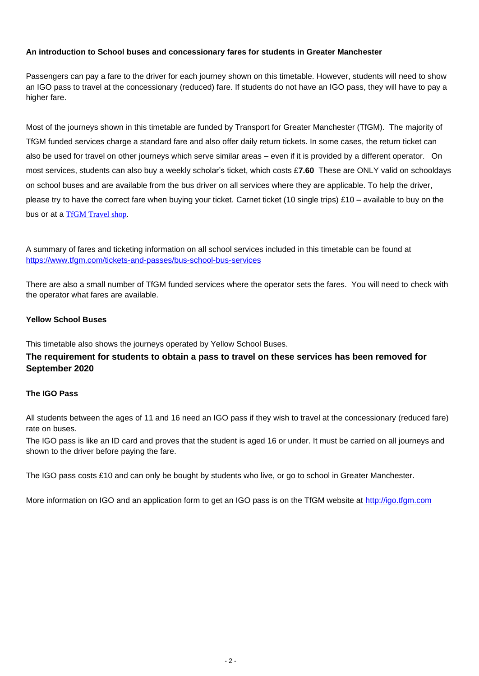## **An introduction to School buses and concessionary fares for students in Greater Manchester**

Passengers can pay a fare to the driver for each journey shown on this timetable. However, students will need to show an IGO pass to travel at the concessionary (reduced) fare. If students do not have an IGO pass, they will have to pay a higher fare.

Most of the journeys shown in this timetable are funded by Transport for Greater Manchester (TfGM). The majority of TfGM funded services charge a standard fare and also offer daily return tickets. In some cases, the return ticket can also be used for travel on other journeys which serve similar areas – even if it is provided by a different operator. On most services, students can also buy a weekly scholar's ticket, which costs £**7.60** These are ONLY valid on schooldays on school buses and are available from the bus driver on all services where they are applicable. To help the driver, please try to have the correct fare when buying your ticket. Carnet ticket (10 single trips) £10 – available to buy on the bus or at a [TfGM Travel shop.](https://tfgm.com/public-transport/travelshops)

A summary of fares and ticketing information on all school services included in this timetable can be found at <https://www.tfgm.com/tickets-and-passes/bus-school-bus-services>

There are also a small number of TfGM funded services where the operator sets the fares. You will need to check with the operator what fares are available.

### **Yellow School Buses**

This timetable also shows the journeys operated by Yellow School Buses.

## **The requirement for students to obtain a pass to travel on these services has been removed for September 2020**

## **The IGO Pass**

All students between the ages of 11 and 16 need an IGO pass if they wish to travel at the concessionary (reduced fare) rate on buses.

The IGO pass is like an ID card and proves that the student is aged 16 or under. It must be carried on all journeys and shown to the driver before paying the fare.

The IGO pass costs £10 and can only be bought by students who live, or go to school in Greater Manchester.

More information on IGO and an application form to get an IGO pass is on the TfGM website at [http://igo.tfgm.com](http://igo.tfgm.com/)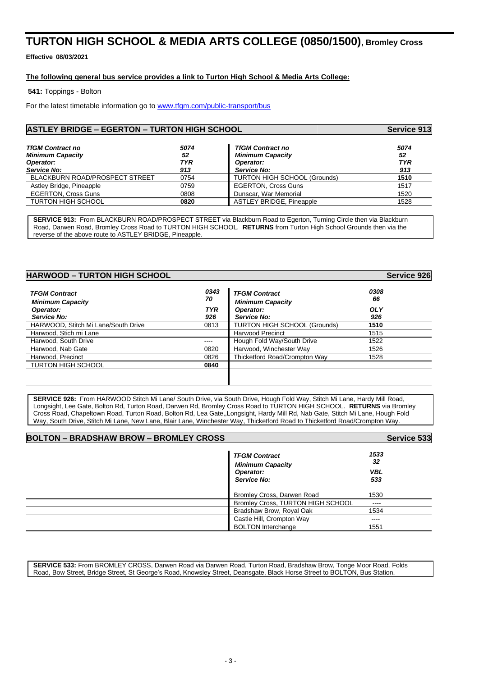## **TURTON HIGH SCHOOL & MEDIA ARTS COLLEGE (0850/1500), Bromley Cross**

**Effective 08/03/2021**

#### **The following general bus service provides a link to Turton High School & Media Arts College:**

**541:** Toppings - Bolton

For the latest timetable information go to [www.tfgm.com/public-transport/bus](http://www.tfgm.com/public-transport/bus)

### **ASTLEY BRIDGE – EGERTON – TURTON HIGH SCHOOL Service 913**

| <b>TfGM Contract no</b><br><b>Minimum Capacity</b><br>Operator:<br><b>Service No:</b> | 5074<br>52<br><b>TYR</b><br>913 | <b>TfGM Contract no</b><br><b>Minimum Capacity</b><br>Operator:<br><b>Service No:</b> | 5074<br>52<br><b>TYR</b><br>913 |
|---------------------------------------------------------------------------------------|---------------------------------|---------------------------------------------------------------------------------------|---------------------------------|
| <b>BLACKBURN ROAD/PROSPECT STREET</b>                                                 | 0754                            | <b>TURTON HIGH SCHOOL (Grounds)</b>                                                   | 1510                            |
| Astley Bridge, Pineapple                                                              | 0759                            | <b>EGERTON, Cross Guns</b>                                                            | 1517                            |
| <b>EGERTON, Cross Guns</b>                                                            | 0808                            | Dunscar, War Memorial                                                                 | 1520                            |
| <b>TURTON HIGH SCHOOL</b>                                                             | 0820                            | <b>ASTLEY BRIDGE, Pineapple</b>                                                       | 1528                            |

**SERVICE 913:** From BLACKBURN ROAD/PROSPECT STREET via Blackburn Road to Egerton, Turning Circle then via Blackburn Road, Darwen Road, Bromley Cross Road to TURTON HIGH SCHOOL. **RETURNS** from Turton High School Grounds then via the reverse of the above route to ASTLEY BRIDGE, Pineapple.

| <b>HARWOOD - TURTON HIGH SCHOOL</b>             |            |                                                 | <b>Service 926</b> |
|-------------------------------------------------|------------|-------------------------------------------------|--------------------|
| <b>TFGM Contract</b><br><b>Minimum Capacity</b> | 0343<br>70 | <b>TFGM Contract</b><br><b>Minimum Capacity</b> | 0308<br>66         |
| Operator:                                       | <b>TYR</b> | Operator:                                       | <b>OLY</b>         |
| Service No:                                     | 926        | <b>Service No:</b>                              | 926                |
| HARWOOD, Stitch Mi Lane/South Drive             | 0813       | <b>TURTON HIGH SCHOOL (Grounds)</b>             | 1510               |
| Harwood, Stich mi Lane                          |            | <b>Harwood Precinct</b>                         | 1515               |
| Harwood, South Drive                            | ----       | Hough Fold Way/South Drive                      | 1522               |
| Harwood. Nab Gate                               | 0820       | Harwood, Winchester Way                         | 1526               |
| Harwood, Precinct                               | 0826       | Thicketford Road/Crompton Way                   | 1528               |
| <b>TURTON HIGH SCHOOL</b>                       | 0840       |                                                 |                    |
|                                                 |            |                                                 |                    |
|                                                 |            |                                                 |                    |

**SERVICE 926:** From HARWOOD Stitch Mi Lane/ South Drive, via South Drive, Hough Fold Way, Stitch Mi Lane, Hardy Mill Road, Longsight, Lee Gate, Bolton Rd, Turton Road, Darwen Rd, Bromley Cross Road to TURTON HIGH SCHOOL. **RETURNS** via Bromley Cross Road, Chapeltown Road, Turton Road, Bolton Rd, Lea Gate,,Longsight, Hardy Mill Rd, Nab Gate, Stitch Mi Lane, Hough Fold Way, South Drive, Stitch Mi Lane, New Lane, Blair Lane, Winchester Way, Thicketford Road to Thicketford Road/Crompton Way.

| <b>BOLTON - BRADSHAW BROW - BROMLEY CROSS</b> | <b>Service 533</b>                              |                   |
|-----------------------------------------------|-------------------------------------------------|-------------------|
|                                               | <b>TFGM Contract</b><br><b>Minimum Capacity</b> | 1533<br>32        |
|                                               | Operator:<br>Service No:                        | <b>VBL</b><br>533 |
|                                               | Bromley Cross, Darwen Road                      | 1530              |
|                                               | Bromley Cross, TURTON HIGH SCHOOL               | $\cdots$          |
|                                               | Bradshaw Brow, Royal Oak                        | 1534              |
|                                               | Castle Hill, Crompton Way                       | $\frac{1}{2}$     |
|                                               | <b>BOLTON Interchange</b>                       | 1551              |

**SERVICE 533:** From BROMLEY CROSS, Darwen Road via Darwen Road, Turton Road, Bradshaw Brow, Tonge Moor Road, Folds Road, Bow Street, Bridge Street, St George's Road, Knowsley Street, Deansgate, Black Horse Street to BOLTON, Bus Station.